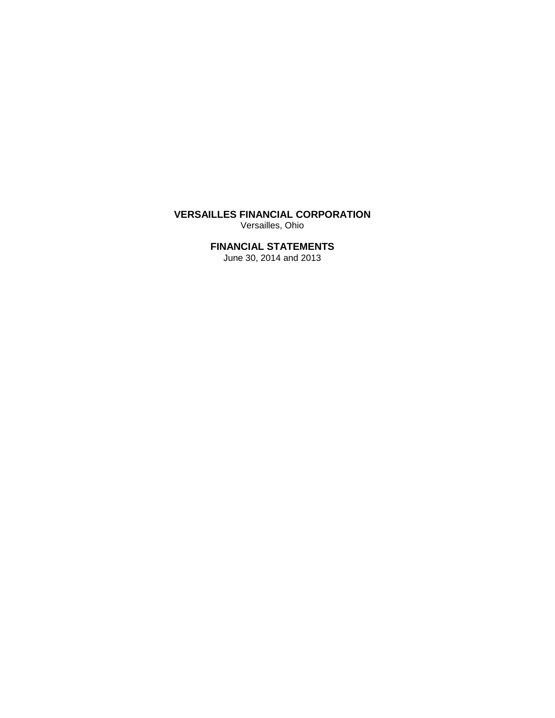# **VERSAILLES FINANCIAL CORPORATION** Versailles, Ohio

# **FINANCIAL STATEMENTS**

June 30, 2014 and 2013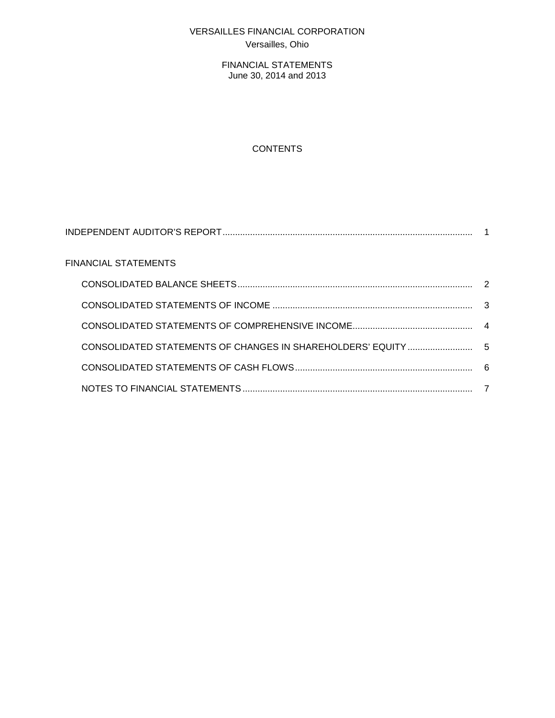# VERSAILLES FINANCIAL CORPORATION Versailles, Ohio

FINANCIAL STATEMENTS June 30, 2014 and 2013

# **CONTENTS**

| <b>FINANCIAL STATEMENTS</b> |  |
|-----------------------------|--|
|                             |  |
|                             |  |
|                             |  |
|                             |  |
|                             |  |
|                             |  |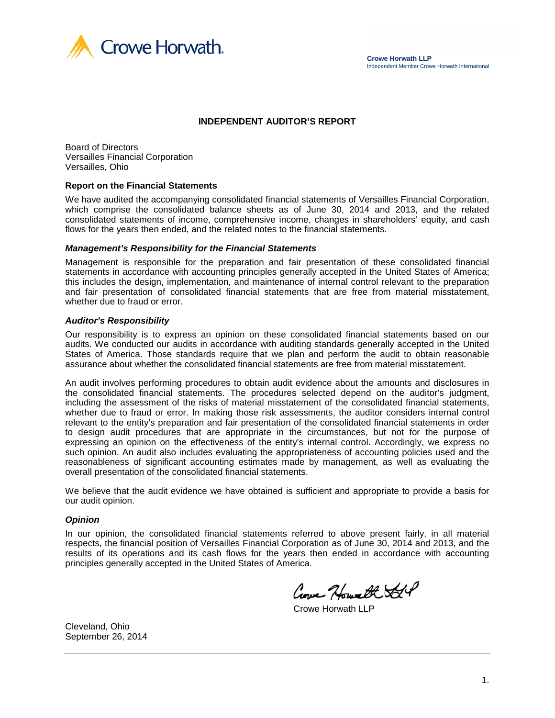

### **INDEPENDENT AUDITOR'S REPORT**

Board of Directors Versailles Financial Corporation Versailles, Ohio

#### **Report on the Financial Statements**

We have audited the accompanying consolidated financial statements of Versailles Financial Corporation, which comprise the consolidated balance sheets as of June 30, 2014 and 2013, and the related consolidated statements of income, comprehensive income, changes in shareholders' equity, and cash flows for the years then ended, and the related notes to the financial statements.

#### *Management's Responsibility for the Financial Statements*

Management is responsible for the preparation and fair presentation of these consolidated financial statements in accordance with accounting principles generally accepted in the United States of America; this includes the design, implementation, and maintenance of internal control relevant to the preparation and fair presentation of consolidated financial statements that are free from material misstatement, whether due to fraud or error.

#### *Auditor's Responsibility*

Our responsibility is to express an opinion on these consolidated financial statements based on our audits. We conducted our audits in accordance with auditing standards generally accepted in the United States of America. Those standards require that we plan and perform the audit to obtain reasonable assurance about whether the consolidated financial statements are free from material misstatement.

An audit involves performing procedures to obtain audit evidence about the amounts and disclosures in the consolidated financial statements. The procedures selected depend on the auditor's judgment, including the assessment of the risks of material misstatement of the consolidated financial statements, whether due to fraud or error. In making those risk assessments, the auditor considers internal control relevant to the entity's preparation and fair presentation of the consolidated financial statements in order to design audit procedures that are appropriate in the circumstances, but not for the purpose of expressing an opinion on the effectiveness of the entity's internal control. Accordingly, we express no such opinion. An audit also includes evaluating the appropriateness of accounting policies used and the reasonableness of significant accounting estimates made by management, as well as evaluating the overall presentation of the consolidated financial statements.

We believe that the audit evidence we have obtained is sufficient and appropriate to provide a basis for our audit opinion.

#### *Opinion*

In our opinion, the consolidated financial statements referred to above present fairly, in all material respects, the financial position of Versailles Financial Corporation as of June 30, 2014 and 2013, and the results of its operations and its cash flows for the years then ended in accordance with accounting principles generally accepted in the United States of America.

Cove Howeth St

Crowe Horwath LLP

Cleveland, Ohio September 26, 2014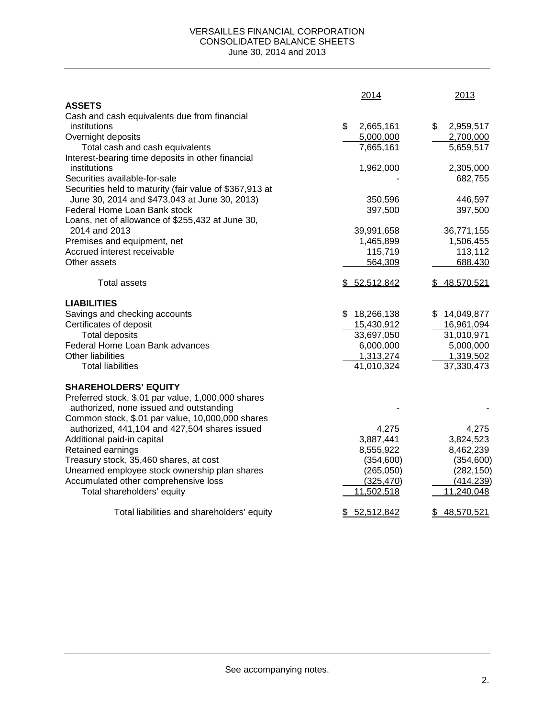#### VERSAILLES FINANCIAL CORPORATION CONSOLIDATED BALANCE SHEETS June 30, 2014 and 2013

|                                                         | 2014            | 2013            |
|---------------------------------------------------------|-----------------|-----------------|
| <b>ASSETS</b>                                           |                 |                 |
| Cash and cash equivalents due from financial            |                 |                 |
| institutions                                            | \$<br>2,665,161 | 2,959,517<br>\$ |
| Overnight deposits                                      | 5,000,000       | 2,700,000       |
| Total cash and cash equivalents                         | 7,665,161       | 5,659,517       |
| Interest-bearing time deposits in other financial       |                 |                 |
| institutions                                            | 1,962,000       | 2,305,000       |
| Securities available-for-sale                           |                 | 682,755         |
| Securities held to maturity (fair value of \$367,913 at |                 |                 |
| June 30, 2014 and \$473,043 at June 30, 2013)           | 350,596         | 446,597         |
| Federal Home Loan Bank stock                            | 397,500         | 397,500         |
| Loans, net of allowance of \$255,432 at June 30,        |                 |                 |
| 2014 and 2013                                           | 39,991,658      | 36,771,155      |
| Premises and equipment, net                             | 1,465,899       | 1,506,455       |
| Accrued interest receivable                             | 115,719         | 113,112         |
| Other assets                                            | 564,309         | 688,430         |
| <b>Total assets</b>                                     | \$52,512,842    | \$48,570,521    |
| <b>LIABILITIES</b>                                      |                 |                 |
| Savings and checking accounts                           | \$18,266,138    | \$14,049,877    |
| Certificates of deposit                                 | 15,430,912      | 16,961,094      |
| <b>Total deposits</b>                                   | 33,697,050      | 31,010,971      |
| Federal Home Loan Bank advances                         | 6,000,000       | 5,000,000       |
| Other liabilities                                       | 1,313,274       | 1,319,502       |
| <b>Total liabilities</b>                                | 41,010,324      | 37,330,473      |
| <b>SHAREHOLDERS' EQUITY</b>                             |                 |                 |
| Preferred stock, \$.01 par value, 1,000,000 shares      |                 |                 |
| authorized, none issued and outstanding                 |                 |                 |
| Common stock, \$.01 par value, 10,000,000 shares        |                 |                 |
| authorized, 441,104 and 427,504 shares issued           | 4,275           | 4,275           |
| Additional paid-in capital                              | 3,887,441       | 3,824,523       |
| Retained earnings                                       | 8,555,922       | 8,462,239       |
| Treasury stock, 35,460 shares, at cost                  | (354, 600)      | (354, 600)      |
| Unearned employee stock ownership plan shares           | (265, 050)      | (282, 150)      |
| Accumulated other comprehensive loss                    | (325, 470)      | (414, 239)      |
| Total shareholders' equity                              | 11,502,518      | 11,240,048      |
| Total liabilities and shareholders' equity              | \$52,512,842    | \$48,570,521    |
|                                                         |                 |                 |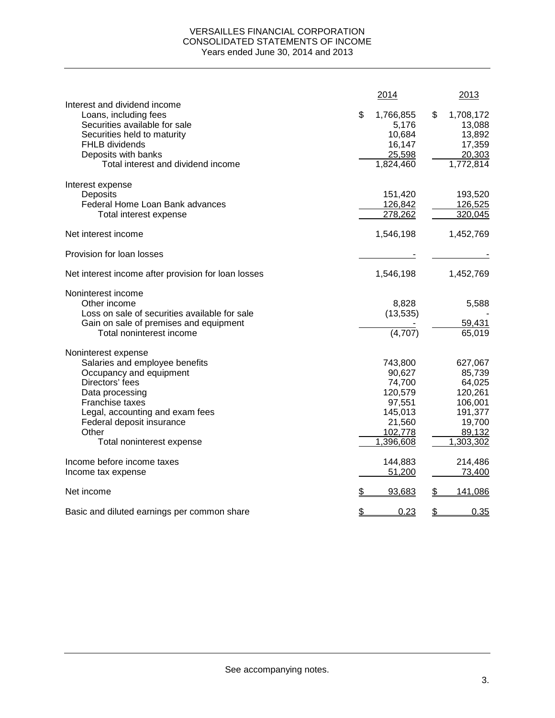### VERSAILLES FINANCIAL CORPORATION CONSOLIDATED STATEMENTS OF INCOME Years ended June 30, 2014 and 2013

|                                                                                                                                                                       | 2014                                                   | 2013                                                    |
|-----------------------------------------------------------------------------------------------------------------------------------------------------------------------|--------------------------------------------------------|---------------------------------------------------------|
| Interest and dividend income<br>Loans, including fees<br>Securities available for sale<br>Securities held to maturity<br><b>FHLB</b> dividends<br>Deposits with banks | \$<br>1,766,855<br>5,176<br>10,684<br>16,147<br>25,598 | \$<br>1,708,172<br>13,088<br>13,892<br>17,359<br>20,303 |
| Total interest and dividend income                                                                                                                                    | 1,824,460                                              | 1,772,814                                               |
| Interest expense                                                                                                                                                      |                                                        |                                                         |
| Deposits<br>Federal Home Loan Bank advances                                                                                                                           | 151,420<br>126,842                                     | 193,520<br>126,525                                      |
| Total interest expense                                                                                                                                                | 278,262                                                | 320,045                                                 |
| Net interest income                                                                                                                                                   | 1,546,198                                              | 1,452,769                                               |
| Provision for loan losses                                                                                                                                             |                                                        |                                                         |
| Net interest income after provision for loan losses                                                                                                                   | 1,546,198                                              | 1,452,769                                               |
| Noninterest income                                                                                                                                                    |                                                        |                                                         |
| Other income                                                                                                                                                          | 8,828                                                  | 5,588                                                   |
| Loss on sale of securities available for sale                                                                                                                         | (13, 535)                                              |                                                         |
| Gain on sale of premises and equipment<br>Total noninterest income                                                                                                    | (4,707)                                                | 59,431<br>65,019                                        |
| Noninterest expense                                                                                                                                                   |                                                        |                                                         |
| Salaries and employee benefits                                                                                                                                        | 743,800                                                | 627,067                                                 |
| Occupancy and equipment                                                                                                                                               | 90,627                                                 | 85,739                                                  |
| Directors' fees                                                                                                                                                       | 74,700                                                 | 64,025                                                  |
| Data processing                                                                                                                                                       | 120,579                                                | 120,261                                                 |
| Franchise taxes<br>Legal, accounting and exam fees                                                                                                                    | 97,551<br>145,013                                      | 106,001<br>191,377                                      |
| Federal deposit insurance                                                                                                                                             | 21,560                                                 | 19,700                                                  |
| Other                                                                                                                                                                 | 102,778                                                | 89,132                                                  |
| Total noninterest expense                                                                                                                                             | 1,396,608                                              | 1,303,302                                               |
| Income before income taxes                                                                                                                                            | 144,883                                                | 214,486                                                 |
| Income tax expense                                                                                                                                                    | 51,200                                                 | 73,400                                                  |
| Net income                                                                                                                                                            | \$<br>93,683                                           | \$<br>141,086                                           |
| Basic and diluted earnings per common share                                                                                                                           | \$<br>0.23                                             | \$<br>0.35                                              |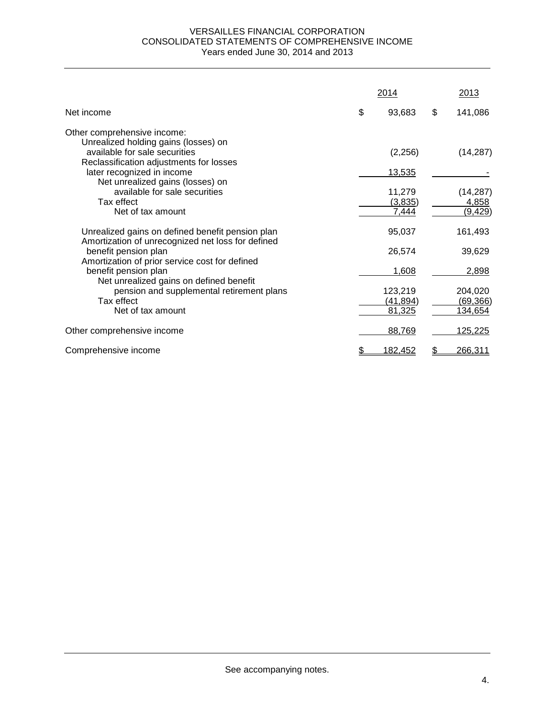#### VERSAILLES FINANCIAL CORPORATION CONSOLIDATED STATEMENTS OF COMPREHENSIVE INCOME Years ended June 30, 2014 and 2013

|                                                                                                       | 2014                 | 2013                 |
|-------------------------------------------------------------------------------------------------------|----------------------|----------------------|
| Net income                                                                                            | \$<br>93,683         | \$<br>141,086        |
| Other comprehensive income:                                                                           |                      |                      |
| Unrealized holding gains (losses) on<br>available for sale securities                                 | (2,256)              | (14, 287)            |
| Reclassification adjustments for losses<br>later recognized in income                                 | <u>13,535</u>        |                      |
| Net unrealized gains (losses) on<br>available for sale securities                                     | 11,279               | (14, 287)            |
| Tax effect<br>Net of tax amount                                                                       | (3,835)<br>7,444     | 4,858<br>(9, 429)    |
| Unrealized gains on defined benefit pension plan<br>Amortization of unrecognized net loss for defined | 95,037               | 161,493              |
| benefit pension plan<br>Amortization of prior service cost for defined                                | 26,574               | 39,629               |
| benefit pension plan<br>Net unrealized gains on defined benefit                                       | 1,608                | 2,898                |
| pension and supplemental retirement plans<br>Tax effect                                               | 123,219<br>(41, 894) | 204,020<br>(69, 366) |
| Net of tax amount                                                                                     | 81,325               | 134,654              |
| Other comprehensive income                                                                            | 88,769               | 125,225              |
| Comprehensive income                                                                                  | <u>182,452</u>       | 266,311              |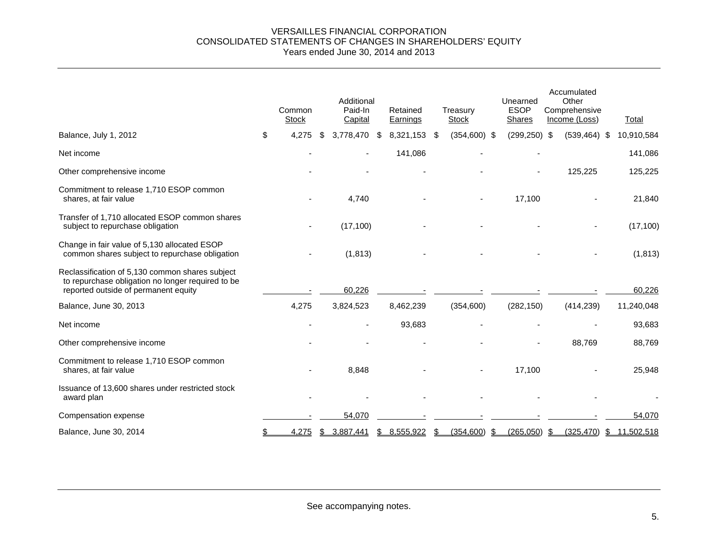#### VERSAILLES FINANCIAL CORPORATION CONSOLIDATED STATEMENTS OF CHANGES IN SHAREHOLDERS' EQUITY Years ended June 30, 2014 and 2013

|                                                                                                                                              | Common<br><b>Stock</b> | Additional<br>Paid-In<br>Capital |    | Retained<br>Earnings |      | Treasurv<br><b>Stock</b> | Unearned<br><b>ESOP</b><br>Shares | Accumulated<br>Other<br>Comprehensive<br>Income (Loss) | Total        |
|----------------------------------------------------------------------------------------------------------------------------------------------|------------------------|----------------------------------|----|----------------------|------|--------------------------|-----------------------------------|--------------------------------------------------------|--------------|
| Balance, July 1, 2012                                                                                                                        | \$<br>4.275            | \$<br>3,778,470 \$               |    | 8,321,153            | - \$ | $(354,600)$ \$           | $(299, 250)$ \$                   | $(539, 464)$ \$                                        | 10,910,584   |
| Net income                                                                                                                                   |                        |                                  |    | 141,086              |      |                          |                                   |                                                        | 141,086      |
| Other comprehensive income                                                                                                                   |                        |                                  |    |                      |      |                          |                                   | 125,225                                                | 125,225      |
| Commitment to release 1,710 ESOP common<br>shares, at fair value                                                                             |                        | 4,740                            |    |                      |      |                          | 17,100                            |                                                        | 21,840       |
| Transfer of 1,710 allocated ESOP common shares<br>subject to repurchase obligation                                                           |                        | (17, 100)                        |    |                      |      |                          |                                   |                                                        | (17, 100)    |
| Change in fair value of 5,130 allocated ESOP<br>common shares subject to repurchase obligation                                               |                        | (1, 813)                         |    |                      |      |                          |                                   |                                                        | (1, 813)     |
| Reclassification of 5,130 common shares subject<br>to repurchase obligation no longer required to be<br>reported outside of permanent equity |                        | 60.226                           |    |                      |      |                          |                                   |                                                        | 60,226       |
| Balance, June 30, 2013                                                                                                                       | 4,275                  | 3,824,523                        |    | 8,462,239            |      | (354,600)                | (282, 150)                        | (414, 239)                                             | 11,240,048   |
| Net income                                                                                                                                   |                        |                                  |    | 93,683               |      |                          |                                   |                                                        | 93,683       |
| Other comprehensive income                                                                                                                   |                        |                                  |    |                      |      |                          |                                   | 88,769                                                 | 88,769       |
| Commitment to release 1,710 ESOP common<br>shares, at fair value                                                                             |                        | 8,848                            |    |                      |      |                          | 17,100                            |                                                        | 25,948       |
| Issuance of 13,600 shares under restricted stock<br>award plan                                                                               |                        |                                  |    |                      |      |                          |                                   |                                                        |              |
| Compensation expense                                                                                                                         |                        | 54,070                           |    |                      |      |                          |                                   |                                                        | 54,070       |
| Balance, June 30, 2014                                                                                                                       | 4,275                  | \$3,887,441                      | S. | 8,555,922            | \$   | $(354,600)$ \$           | $(265,050)$ \$                    | (325, 470)                                             | \$11,502,518 |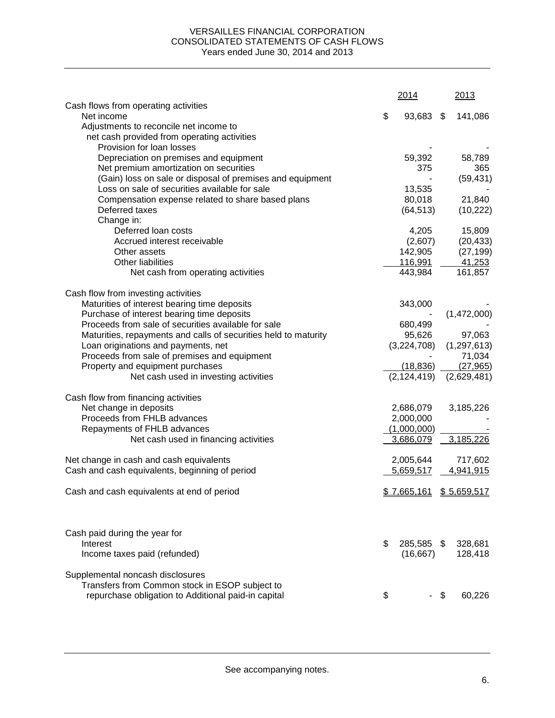### VERSAILLES FINANCIAL CORPORATION CONSOLIDATED STATEMENTS OF CASH FLOWS Years ended June 30, 2014 and 2013

|                                                                 | 2014             | 2013          |
|-----------------------------------------------------------------|------------------|---------------|
| Cash flows from operating activities                            |                  |               |
| Net income                                                      | \$<br>93,683 \$  | 141,086       |
| Adjustments to reconcile net income to                          |                  |               |
| net cash provided from operating activities                     |                  |               |
| Provision for loan losses                                       |                  |               |
| Depreciation on premises and equipment                          | 59,392           | 58,789        |
| Net premium amortization on securities                          | 375              | 365           |
| (Gain) loss on sale or disposal of premises and equipment       |                  | (59, 431)     |
| Loss on sale of securities available for sale                   | 13,535           |               |
| Compensation expense related to share based plans               | 80,018           | 21,840        |
| Deferred taxes                                                  | (64, 513)        | (10, 222)     |
| Change in:                                                      |                  |               |
| Deferred loan costs                                             | 4,205            | 15,809        |
| Accrued interest receivable                                     | (2,607)          | (20, 433)     |
| Other assets                                                    | 142,905          | (27, 199)     |
| Other liabilities                                               | 116,991          | 41,253        |
| Net cash from operating activities                              | 443,984          | 161,857       |
|                                                                 |                  |               |
| Cash flow from investing activities                             |                  |               |
| Maturities of interest bearing time deposits                    | 343,000          |               |
| Purchase of interest bearing time deposits                      |                  | (1,472,000)   |
| Proceeds from sale of securities available for sale             | 680,499          |               |
| Maturities, repayments and calls of securities held to maturity | 95,626           | 97,063        |
| Loan originations and payments, net                             | (3,224,708)      | (1, 297, 613) |
| Proceeds from sale of premises and equipment                    |                  | 71,034        |
| Property and equipment purchases                                | (18, 836)        | (27, 965)     |
| Net cash used in investing activities                           | (2, 124, 419)    | (2,629,481)   |
| Cash flow from financing activities                             |                  |               |
| Net change in deposits                                          | 2,686,079        | 3,185,226     |
| Proceeds from FHLB advances                                     | 2,000,000        |               |
| Repayments of FHLB advances                                     | (1,000,000)      |               |
| Net cash used in financing activities                           | 3,686,079        | 3,185,226     |
|                                                                 |                  |               |
| Net change in cash and cash equivalents                         | 2,005,644        | 717,602       |
| Cash and cash equivalents, beginning of period                  | 5,659,517        | 4,941,915     |
| Cash and cash equivalents at end of period                      | \$7,665,161      | \$5,659,517   |
|                                                                 |                  |               |
| Cash paid during the year for                                   |                  |               |
| Interest                                                        | \$<br>285,585 \$ | 328,681       |
| Income taxes paid (refunded)                                    | (16, 667)        | 128,418       |
| Supplemental noncash disclosures                                |                  |               |
| Transfers from Common stock in ESOP subject to                  |                  |               |
| repurchase obligation to Additional paid-in capital             | \$               | \$<br>60,226  |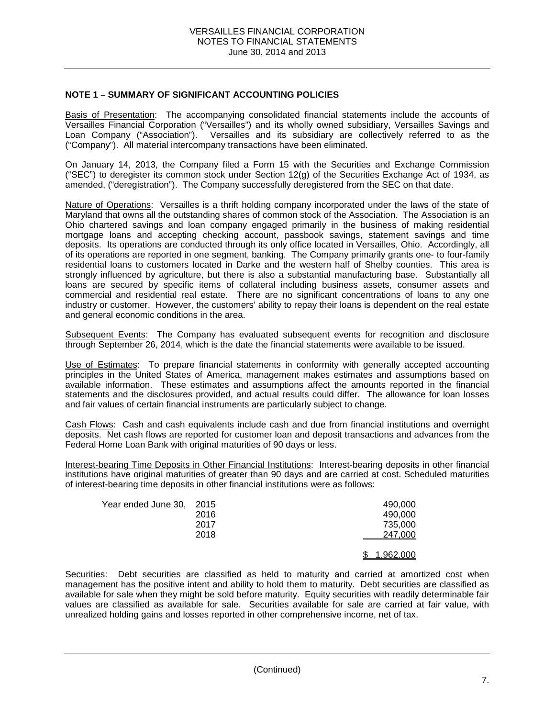### **NOTE 1 – SUMMARY OF SIGNIFICANT ACCOUNTING POLICIES**

Basis of Presentation: The accompanying consolidated financial statements include the accounts of Versailles Financial Corporation ("Versailles") and its wholly owned subsidiary, Versailles Savings and Loan Company ("Association"). Versailles and its subsidiary are collectively referred to as the ("Company"). All material intercompany transactions have been eliminated.

On January 14, 2013, the Company filed a Form 15 with the Securities and Exchange Commission ("SEC") to deregister its common stock under Section 12(g) of the Securities Exchange Act of 1934, as amended, ("deregistration"). The Company successfully deregistered from the SEC on that date.

Nature of Operations: Versailles is a thrift holding company incorporated under the laws of the state of Maryland that owns all the outstanding shares of common stock of the Association. The Association is an Ohio chartered savings and loan company engaged primarily in the business of making residential mortgage loans and accepting checking account, passbook savings, statement savings and time deposits. Its operations are conducted through its only office located in Versailles, Ohio. Accordingly, all of its operations are reported in one segment, banking. The Company primarily grants one- to four-family residential loans to customers located in Darke and the western half of Shelby counties. This area is strongly influenced by agriculture, but there is also a substantial manufacturing base. Substantially all loans are secured by specific items of collateral including business assets, consumer assets and commercial and residential real estate. There are no significant concentrations of loans to any one industry or customer. However, the customers' ability to repay their loans is dependent on the real estate and general economic conditions in the area.

Subsequent Events: The Company has evaluated subsequent events for recognition and disclosure through September 26, 2014, which is the date the financial statements were available to be issued.

Use of Estimates: To prepare financial statements in conformity with generally accepted accounting principles in the United States of America, management makes estimates and assumptions based on available information. These estimates and assumptions affect the amounts reported in the financial statements and the disclosures provided, and actual results could differ. The allowance for loan losses and fair values of certain financial instruments are particularly subject to change.

Cash Flows: Cash and cash equivalents include cash and due from financial institutions and overnight deposits. Net cash flows are reported for customer loan and deposit transactions and advances from the Federal Home Loan Bank with original maturities of 90 days or less.

Interest-bearing Time Deposits in Other Financial Institutions: Interest-bearing deposits in other financial institutions have original maturities of greater than 90 days and are carried at cost. Scheduled maturities of interest-bearing time deposits in other financial institutions were as follows:

| Year ended June 30, 2015 |      | 490,000   |
|--------------------------|------|-----------|
|                          | 2016 | 490,000   |
|                          | 2017 | 735,000   |
|                          | 2018 | 247,000   |
|                          |      |           |
|                          |      | 1,962,000 |

Securities: Debt securities are classified as held to maturity and carried at amortized cost when management has the positive intent and ability to hold them to maturity. Debt securities are classified as available for sale when they might be sold before maturity. Equity securities with readily determinable fair values are classified as available for sale. Securities available for sale are carried at fair value, with unrealized holding gains and losses reported in other comprehensive income, net of tax.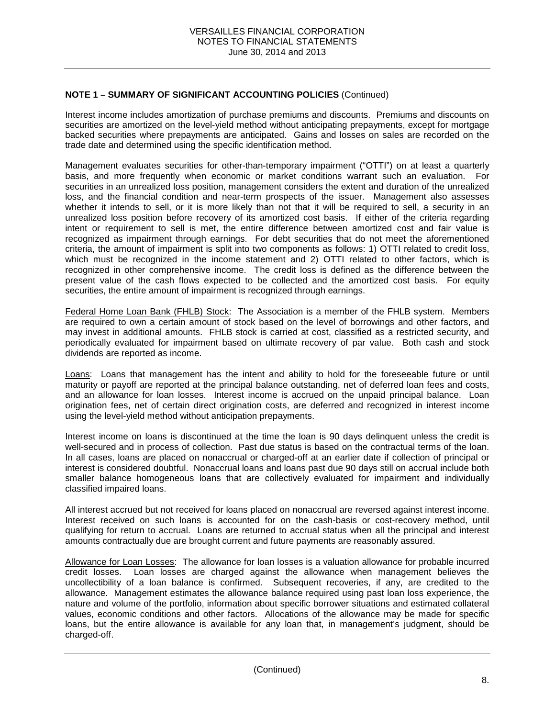## **NOTE 1 – SUMMARY OF SIGNIFICANT ACCOUNTING POLICIES** (Continued)

Interest income includes amortization of purchase premiums and discounts. Premiums and discounts on securities are amortized on the level-yield method without anticipating prepayments, except for mortgage backed securities where prepayments are anticipated. Gains and losses on sales are recorded on the trade date and determined using the specific identification method.

Management evaluates securities for other-than-temporary impairment ("OTTI") on at least a quarterly basis, and more frequently when economic or market conditions warrant such an evaluation. For securities in an unrealized loss position, management considers the extent and duration of the unrealized loss, and the financial condition and near-term prospects of the issuer. Management also assesses whether it intends to sell, or it is more likely than not that it will be required to sell, a security in an unrealized loss position before recovery of its amortized cost basis. If either of the criteria regarding intent or requirement to sell is met, the entire difference between amortized cost and fair value is recognized as impairment through earnings. For debt securities that do not meet the aforementioned criteria, the amount of impairment is split into two components as follows: 1) OTTI related to credit loss, which must be recognized in the income statement and 2) OTTI related to other factors, which is recognized in other comprehensive income. The credit loss is defined as the difference between the present value of the cash flows expected to be collected and the amortized cost basis. For equity securities, the entire amount of impairment is recognized through earnings.

Federal Home Loan Bank (FHLB) Stock: The Association is a member of the FHLB system. Members are required to own a certain amount of stock based on the level of borrowings and other factors, and may invest in additional amounts. FHLB stock is carried at cost, classified as a restricted security, and periodically evaluated for impairment based on ultimate recovery of par value. Both cash and stock dividends are reported as income.

Loans: Loans that management has the intent and ability to hold for the foreseeable future or until maturity or payoff are reported at the principal balance outstanding, net of deferred loan fees and costs, and an allowance for loan losses. Interest income is accrued on the unpaid principal balance. Loan origination fees, net of certain direct origination costs, are deferred and recognized in interest income using the level-yield method without anticipation prepayments.

Interest income on loans is discontinued at the time the loan is 90 days delinquent unless the credit is well-secured and in process of collection. Past due status is based on the contractual terms of the loan. In all cases, loans are placed on nonaccrual or charged-off at an earlier date if collection of principal or interest is considered doubtful. Nonaccrual loans and loans past due 90 days still on accrual include both smaller balance homogeneous loans that are collectively evaluated for impairment and individually classified impaired loans.

All interest accrued but not received for loans placed on nonaccrual are reversed against interest income. Interest received on such loans is accounted for on the cash-basis or cost-recovery method, until qualifying for return to accrual. Loans are returned to accrual status when all the principal and interest amounts contractually due are brought current and future payments are reasonably assured.

Allowance for Loan Losses: The allowance for loan losses is a valuation allowance for probable incurred credit losses. Loan losses are charged against the allowance when management believes the uncollectibility of a loan balance is confirmed. Subsequent recoveries, if any, are credited to the allowance. Management estimates the allowance balance required using past loan loss experience, the nature and volume of the portfolio, information about specific borrower situations and estimated collateral values, economic conditions and other factors. Allocations of the allowance may be made for specific loans, but the entire allowance is available for any loan that, in management's judgment, should be charged-off.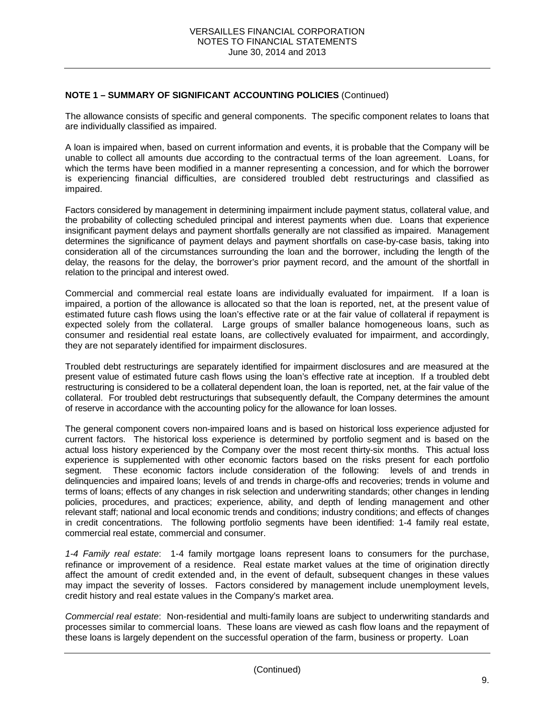# **NOTE 1 – SUMMARY OF SIGNIFICANT ACCOUNTING POLICIES** (Continued)

The allowance consists of specific and general components. The specific component relates to loans that are individually classified as impaired.

A loan is impaired when, based on current information and events, it is probable that the Company will be unable to collect all amounts due according to the contractual terms of the loan agreement. Loans, for which the terms have been modified in a manner representing a concession, and for which the borrower is experiencing financial difficulties, are considered troubled debt restructurings and classified as impaired.

Factors considered by management in determining impairment include payment status, collateral value, and the probability of collecting scheduled principal and interest payments when due. Loans that experience insignificant payment delays and payment shortfalls generally are not classified as impaired. Management determines the significance of payment delays and payment shortfalls on case-by-case basis, taking into consideration all of the circumstances surrounding the loan and the borrower, including the length of the delay, the reasons for the delay, the borrower's prior payment record, and the amount of the shortfall in relation to the principal and interest owed.

Commercial and commercial real estate loans are individually evaluated for impairment. If a loan is impaired, a portion of the allowance is allocated so that the loan is reported, net, at the present value of estimated future cash flows using the loan's effective rate or at the fair value of collateral if repayment is expected solely from the collateral. Large groups of smaller balance homogeneous loans, such as consumer and residential real estate loans, are collectively evaluated for impairment, and accordingly, they are not separately identified for impairment disclosures.

Troubled debt restructurings are separately identified for impairment disclosures and are measured at the present value of estimated future cash flows using the loan's effective rate at inception. If a troubled debt restructuring is considered to be a collateral dependent loan, the loan is reported, net, at the fair value of the collateral. For troubled debt restructurings that subsequently default, the Company determines the amount of reserve in accordance with the accounting policy for the allowance for loan losses.

The general component covers non-impaired loans and is based on historical loss experience adjusted for current factors. The historical loss experience is determined by portfolio segment and is based on the actual loss history experienced by the Company over the most recent thirty-six months. This actual loss experience is supplemented with other economic factors based on the risks present for each portfolio segment. These economic factors include consideration of the following: levels of and trends in delinquencies and impaired loans; levels of and trends in charge-offs and recoveries; trends in volume and terms of loans; effects of any changes in risk selection and underwriting standards; other changes in lending policies, procedures, and practices; experience, ability, and depth of lending management and other relevant staff; national and local economic trends and conditions; industry conditions; and effects of changes in credit concentrations. The following portfolio segments have been identified: 1-4 family real estate, commercial real estate, commercial and consumer.

*1-4 Family real estate*:1-4 family mortgage loans represent loans to consumers for the purchase, refinance or improvement of a residence. Real estate market values at the time of origination directly affect the amount of credit extended and, in the event of default, subsequent changes in these values may impact the severity of losses. Factors considered by management include unemployment levels, credit history and real estate values in the Company's market area.

*Commercial real estate*:Non-residential and multi-family loans are subject to underwriting standards and processes similar to commercial loans. These loans are viewed as cash flow loans and the repayment of these loans is largely dependent on the successful operation of the farm, business or property. Loan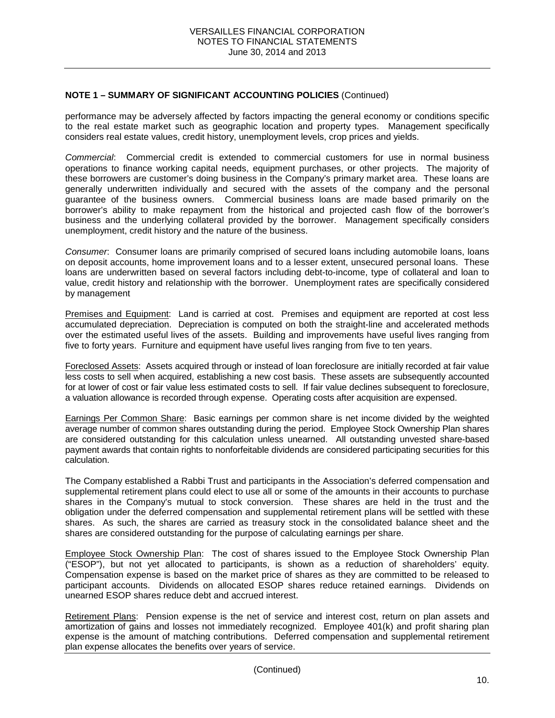### **NOTE 1 – SUMMARY OF SIGNIFICANT ACCOUNTING POLICIES** (Continued)

performance may be adversely affected by factors impacting the general economy or conditions specific to the real estate market such as geographic location and property types. Management specifically considers real estate values, credit history, unemployment levels, crop prices and yields.

*Commercial*: Commercial credit is extended to commercial customers for use in normal business operations to finance working capital needs, equipment purchases, or other projects. The majority of these borrowers are customer's doing business in the Company's primary market area. These loans are generally underwritten individually and secured with the assets of the company and the personal guarantee of the business owners. Commercial business loans are made based primarily on the borrower's ability to make repayment from the historical and projected cash flow of the borrower's business and the underlying collateral provided by the borrower. Management specifically considers unemployment, credit history and the nature of the business.

*Consumer*: Consumer loans are primarily comprised of secured loans including automobile loans, loans on deposit accounts, home improvement loans and to a lesser extent, unsecured personal loans. These loans are underwritten based on several factors including debt-to-income, type of collateral and loan to value, credit history and relationship with the borrower. Unemployment rates are specifically considered by management

Premises and Equipment: Land is carried at cost. Premises and equipment are reported at cost less accumulated depreciation. Depreciation is computed on both the straight-line and accelerated methods over the estimated useful lives of the assets. Building and improvements have useful lives ranging from five to forty years. Furniture and equipment have useful lives ranging from five to ten years.

Foreclosed Assets: Assets acquired through or instead of loan foreclosure are initially recorded at fair value less costs to sell when acquired, establishing a new cost basis. These assets are subsequently accounted for at lower of cost or fair value less estimated costs to sell. If fair value declines subsequent to foreclosure, a valuation allowance is recorded through expense. Operating costs after acquisition are expensed.

Earnings Per Common Share: Basic earnings per common share is net income divided by the weighted average number of common shares outstanding during the period. Employee Stock Ownership Plan shares are considered outstanding for this calculation unless unearned. All outstanding unvested share-based payment awards that contain rights to nonforfeitable dividends are considered participating securities for this calculation.

The Company established a Rabbi Trust and participants in the Association's deferred compensation and supplemental retirement plans could elect to use all or some of the amounts in their accounts to purchase shares in the Company's mutual to stock conversion. These shares are held in the trust and the obligation under the deferred compensation and supplemental retirement plans will be settled with these shares. As such, the shares are carried as treasury stock in the consolidated balance sheet and the shares are considered outstanding for the purpose of calculating earnings per share.

Employee Stock Ownership Plan: The cost of shares issued to the Employee Stock Ownership Plan ("ESOP"), but not yet allocated to participants, is shown as a reduction of shareholders' equity. Compensation expense is based on the market price of shares as they are committed to be released to participant accounts. Dividends on allocated ESOP shares reduce retained earnings. Dividends on unearned ESOP shares reduce debt and accrued interest.

Retirement Plans: Pension expense is the net of service and interest cost, return on plan assets and amortization of gains and losses not immediately recognized. Employee 401(k) and profit sharing plan expense is the amount of matching contributions. Deferred compensation and supplemental retirement plan expense allocates the benefits over years of service.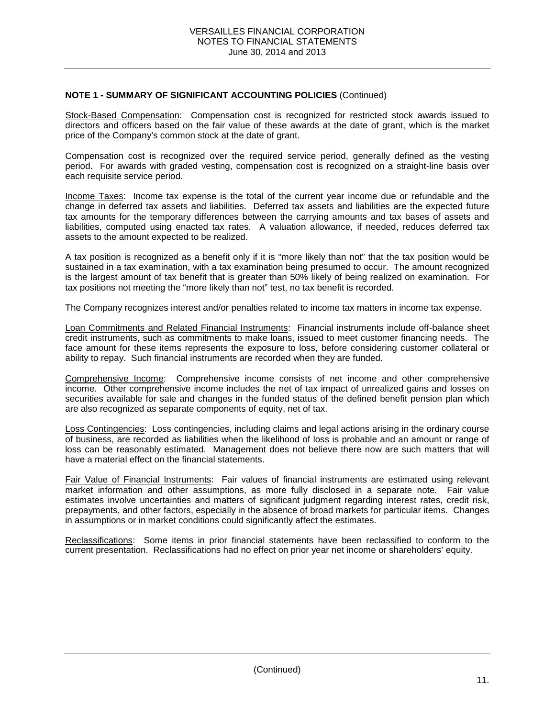### **NOTE 1 - SUMMARY OF SIGNIFICANT ACCOUNTING POLICIES** (Continued)

Stock-Based Compensation: Compensation cost is recognized for restricted stock awards issued to directors and officers based on the fair value of these awards at the date of grant, which is the market price of the Company's common stock at the date of grant.

Compensation cost is recognized over the required service period, generally defined as the vesting period. For awards with graded vesting, compensation cost is recognized on a straight-line basis over each requisite service period.

Income Taxes: Income tax expense is the total of the current year income due or refundable and the change in deferred tax assets and liabilities. Deferred tax assets and liabilities are the expected future tax amounts for the temporary differences between the carrying amounts and tax bases of assets and liabilities, computed using enacted tax rates. A valuation allowance, if needed, reduces deferred tax assets to the amount expected to be realized.

A tax position is recognized as a benefit only if it is "more likely than not" that the tax position would be sustained in a tax examination, with a tax examination being presumed to occur. The amount recognized is the largest amount of tax benefit that is greater than 50% likely of being realized on examination. For tax positions not meeting the "more likely than not" test, no tax benefit is recorded.

The Company recognizes interest and/or penalties related to income tax matters in income tax expense.

Loan Commitments and Related Financial Instruments: Financial instruments include off-balance sheet credit instruments, such as commitments to make loans, issued to meet customer financing needs. The face amount for these items represents the exposure to loss, before considering customer collateral or ability to repay. Such financial instruments are recorded when they are funded.

Comprehensive Income: Comprehensive income consists of net income and other comprehensive income. Other comprehensive income includes the net of tax impact of unrealized gains and losses on securities available for sale and changes in the funded status of the defined benefit pension plan which are also recognized as separate components of equity, net of tax.

Loss Contingencies: Loss contingencies, including claims and legal actions arising in the ordinary course of business, are recorded as liabilities when the likelihood of loss is probable and an amount or range of loss can be reasonably estimated. Management does not believe there now are such matters that will have a material effect on the financial statements.

Fair Value of Financial Instruments: Fair values of financial instruments are estimated using relevant market information and other assumptions, as more fully disclosed in a separate note. Fair value estimates involve uncertainties and matters of significant judgment regarding interest rates, credit risk, prepayments, and other factors, especially in the absence of broad markets for particular items. Changes in assumptions or in market conditions could significantly affect the estimates.

Reclassifications: Some items in prior financial statements have been reclassified to conform to the current presentation. Reclassifications had no effect on prior year net income or shareholders' equity.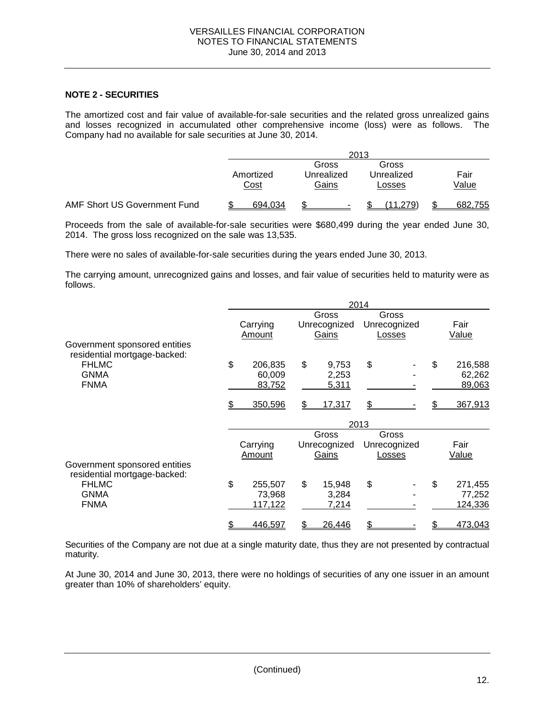### **NOTE 2 - SECURITIES**

The amortized cost and fair value of available-for-sale securities and the related gross unrealized gains and losses recognized in accumulated other comprehensive income (loss) were as follows. The Company had no available for sale securities at June 30, 2014.

|                              | 2013              |                              |                               |               |  |  |  |  |
|------------------------------|-------------------|------------------------------|-------------------------------|---------------|--|--|--|--|
|                              | Amortized<br>Cost | Gross<br>Unrealized<br>Gains | Gross<br>Unrealized<br>Losses | Fair<br>Value |  |  |  |  |
| AMF Short US Government Fund | 694.034           |                              | 11.279)                       | 682,755       |  |  |  |  |

Proceeds from the sale of available-for-sale securities were \$680,499 during the year ended June 30, 2014. The gross loss recognized on the sale was 13,535.

There were no sales of available-for-sale securities during the years ended June 30, 2013.

The carrying amount, unrecognized gains and losses, and fair value of securities held to maturity were as follows.

|                                                               |               |              | 2014 |              |               |
|---------------------------------------------------------------|---------------|--------------|------|--------------|---------------|
|                                                               |               | Gross        |      | Gross        |               |
|                                                               | Carrying      | Unrecognized |      | Unrecognized | Fair          |
|                                                               | Amount        | Gains        |      | Losses       | Value         |
| Government sponsored entities<br>residential mortgage-backed: |               |              |      |              |               |
| <b>FHLMC</b>                                                  | \$<br>206,835 | \$<br>9,753  | \$   |              | \$<br>216,588 |
| <b>GNMA</b>                                                   | 60,009        | 2,253        |      |              | 62,262        |
| <b>FNMA</b>                                                   | 83,752        | 5,311        |      |              | 89,063        |
|                                                               | 350,596       | \$<br>17,317 | \$   |              | 367,913       |
|                                                               |               |              | 2013 |              |               |
|                                                               |               | Gross        |      | Gross        |               |
|                                                               | Carrying      | Unrecognized |      | Unrecognized | Fair          |
|                                                               | Amount        | Gains        |      | Losses       | Value         |
| Government sponsored entities<br>residential mortgage-backed: |               |              |      |              |               |
| <b>FHLMC</b>                                                  | \$<br>255,507 | \$<br>15,948 | \$   |              | \$<br>271,455 |
| <b>GNMA</b>                                                   | 73,968        | 3,284        |      |              | 77,252        |
| <b>FNMA</b>                                                   | 117,122       | 7,214        |      |              | 124,336       |
|                                                               | 446,597       | 26,446       |      |              | 473,043       |

Securities of the Company are not due at a single maturity date, thus they are not presented by contractual maturity.

At June 30, 2014 and June 30, 2013, there were no holdings of securities of any one issuer in an amount greater than 10% of shareholders' equity.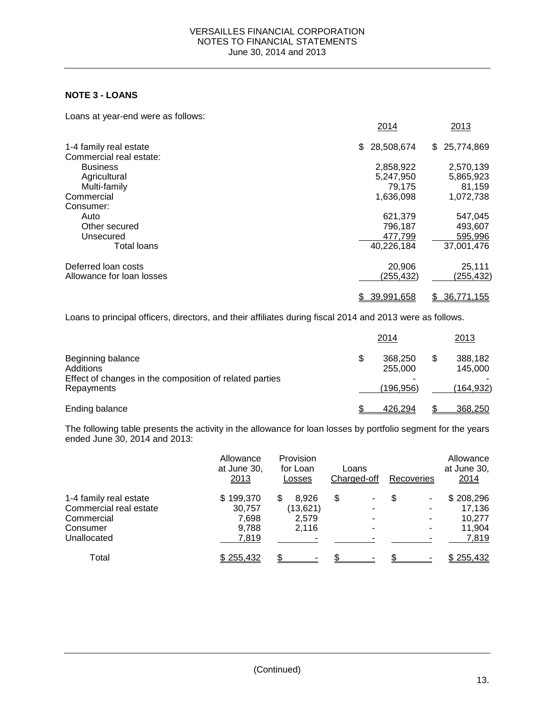## **NOTE 3 - LOANS**

Loans at year-end were as follows:

|                           | 2014             | 2013             |
|---------------------------|------------------|------------------|
| 1-4 family real estate    | 28,508,674<br>\$ | 25,774,869<br>\$ |
| Commercial real estate:   |                  |                  |
| <b>Business</b>           | 2,858,922        | 2,570,139        |
| Agricultural              | 5,247,950        | 5,865,923        |
| Multi-family              | 79.175           | 81,159           |
| Commercial                | 1,636,098        | 1,072,738        |
| Consumer:                 |                  |                  |
| Auto                      | 621,379          | 547,045          |
| Other secured             | 796,187          | 493,607          |
| Unsecured                 | 477,799          | 595,996          |
| Total loans               | 40,226,184       | 37,001,476       |
| Deferred loan costs       | 20,906           | 25,111           |
| Allowance for loan losses | (255,432)        | (255,432)        |
|                           | 39,991,658       | 36,771,155<br>\$ |

Loans to principal officers, directors, and their affiliates during fiscal 2014 and 2013 were as follows.

|                                                                                                         |   | 2014                             | 2013                            |
|---------------------------------------------------------------------------------------------------------|---|----------------------------------|---------------------------------|
| Beginning balance<br>Additions<br>Effect of changes in the composition of related parties<br>Repayments | S | 368,250<br>255,000<br>(196, 956) | 388,182<br>145,000<br>(164,932) |
| Ending balance                                                                                          |   | 426.294                          | 368,250                         |

The following table presents the activity in the allowance for loan losses by portfolio segment for the years ended June 30, 2014 and 2013:

|                        | Allowance<br>at June 30,<br>2013 | Provision<br>for Loan<br>Losses | Loans<br>Charged-off | Recoveries | Allowance<br>at June 30,<br>2014 |
|------------------------|----------------------------------|---------------------------------|----------------------|------------|----------------------------------|
| 1-4 family real estate | \$199,370                        | 8.926<br>S                      | \$                   | S          | \$208,296                        |
| Commercial real estate | 30,757                           | (13,621)                        |                      |            | 17.136                           |
| Commercial             | 7,698                            | 2.579                           |                      |            | 10.277                           |
| Consumer               | 9,788                            | 2,116                           |                      | -          | 11.904                           |
| Unallocated            | 7,819                            |                                 |                      |            | 7,819                            |
| Total                  | \$255,432                        |                                 |                      |            | \$255,432                        |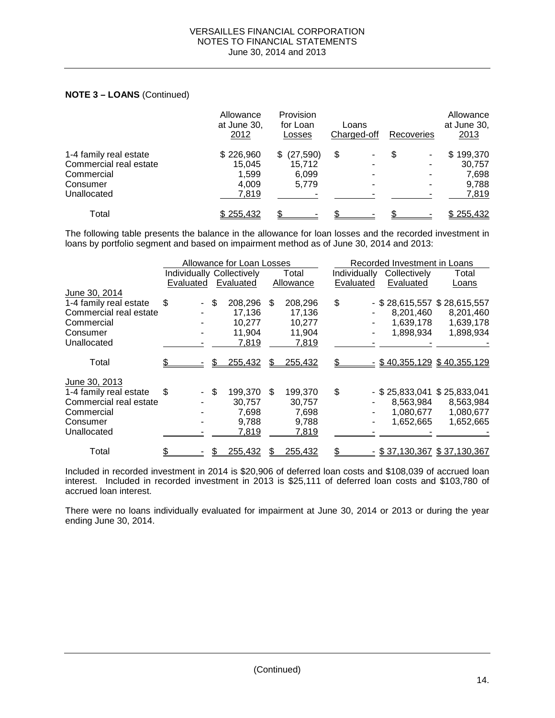# **NOTE 3 – LOANS** (Continued)

|                        | Allowance<br>at June 30,<br>2012 | Provision<br>for Loan<br>Losses | Loans<br>Charged-off | Recoveries | Allowance<br>at June 30,<br>2013 |
|------------------------|----------------------------------|---------------------------------|----------------------|------------|----------------------------------|
| 1-4 family real estate | \$226,960                        | (27, 590)                       | \$                   | \$         | \$199,370                        |
| Commercial real estate | 15,045                           | 15.712                          | -                    |            | 30,757                           |
| Commercial             | 1.599                            | 6,099                           |                      |            | 7,698                            |
| Consumer               | 4.009                            | 5,779                           |                      |            | 9,788                            |
| Unallocated            | 7,819                            |                                 |                      |            | 7,819                            |
| Total                  | \$255,432                        |                                 |                      |            | \$255,432                        |

The following table presents the balance in the allowance for loan losses and the recorded investment in loans by portfolio segment and based on impairment method as of June 30, 2014 and 2013:

|                        | Allowance for Loan Losses        |      |           |     | Recorded Investment in Loans |              |  |              |                               |
|------------------------|----------------------------------|------|-----------|-----|------------------------------|--------------|--|--------------|-------------------------------|
|                        | <b>Individually Collectively</b> |      |           |     | Total                        | Individually |  | Collectively | Total                         |
|                        | Evaluated                        |      | Evaluated |     | Allowance                    | Evaluated    |  | Evaluated    | Loans                         |
| June 30, 2014          |                                  |      |           |     |                              |              |  |              |                               |
| 1-4 family real estate | \$                               | \$   | 208,296   | \$. | 208,296                      | \$           |  |              | $-$ \$28,615,557 \$28,615,557 |
| Commercial real estate |                                  |      | 17,136    |     | 17,136                       |              |  | 8,201,460    | 8,201,460                     |
| Commercial             |                                  |      | 10,277    |     | 10,277                       |              |  | 1,639,178    | 1,639,178                     |
| Consumer               |                                  |      | 11,904    |     | 11,904                       |              |  | 1,898,934    | 1,898,934                     |
| Unallocated            |                                  |      | 7,819     |     | 7,819                        |              |  |              |                               |
| Total                  |                                  | \$   | 255,432   | \$. | 255,432                      |              |  |              | $-$ \$40,355,129 \$40,355,129 |
| June 30, 2013          |                                  |      |           |     |                              |              |  |              |                               |
| 1-4 family real estate | \$                               | - \$ | 199,370   | \$  | 199,370                      | \$           |  |              | $-$ \$25,833,041 \$25,833,041 |
| Commercial real estate |                                  |      | 30,757    |     | 30,757                       |              |  | 8,563,984    | 8,563,984                     |
| Commercial             |                                  |      | 7,698     |     | 7,698                        |              |  | 1,080,677    | 1,080,677                     |
| Consumer               |                                  |      | 9,788     |     | 9,788                        |              |  | 1,652,665    | 1,652,665                     |
| Unallocated            |                                  |      | 7,819     |     | 7,819                        |              |  |              |                               |
| Total                  |                                  |      | 255,432   |     | 255,432                      |              |  |              | $-$ \$37,130,367 \$37,130,367 |

Included in recorded investment in 2014 is \$20,906 of deferred loan costs and \$108,039 of accrued loan interest. Included in recorded investment in 2013 is \$25,111 of deferred loan costs and \$103,780 of accrued loan interest.

There were no loans individually evaluated for impairment at June 30, 2014 or 2013 or during the year ending June 30, 2014.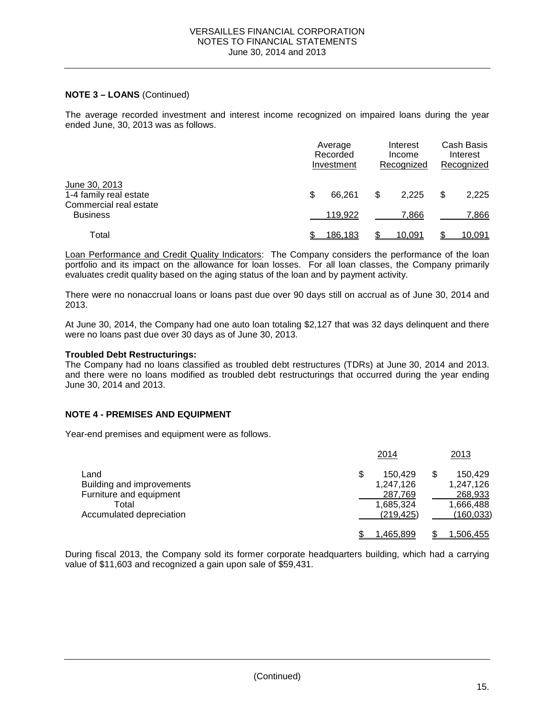### **NOTE 3 – LOANS** (Continued)

The average recorded investment and interest income recognized on impaired loans during the year ended June, 30, 2013 was as follows.

|                                                                   | Average<br>Recorded<br>Investment | Interest<br>Income<br>Recognized | Cash Basis<br>Interest<br>Recognized |
|-------------------------------------------------------------------|-----------------------------------|----------------------------------|--------------------------------------|
| June 30, 2013<br>1-4 family real estate<br>Commercial real estate | \$<br>66.261                      | \$<br>2.225                      | \$<br>2,225                          |
| <b>Business</b>                                                   | 119,922                           | 7.866                            | 7,866                                |
| Total                                                             | 186.183                           | 10.091                           | 10,091                               |

Loan Performance and Credit Quality Indicators: The Company considers the performance of the loan portfolio and its impact on the allowance for loan losses. For all loan classes, the Company primarily evaluates credit quality based on the aging status of the loan and by payment activity.

There were no nonaccrual loans or loans past due over 90 days still on accrual as of June 30, 2014 and 2013.

At June 30, 2014, the Company had one auto loan totaling \$2,127 that was 32 days delinquent and there were no loans past due over 30 days as of June 30, 2013.

### **Troubled Debt Restructurings:**

The Company had no loans classified as troubled debt restructures (TDRs) at June 30, 2014 and 2013. and there were no loans modified as troubled debt restructurings that occurred during the year ending June 30, 2014 and 2013.

### **NOTE 4 - PREMISES AND EQUIPMENT**

Year-end premises and equipment were as follows.

|                           | 2014          | 2013             |
|---------------------------|---------------|------------------|
| Land                      | \$<br>150.429 | \$<br>150.429    |
| Building and improvements | 1,247,126     | 1,247,126        |
| Furniture and equipment   | 287,769       | 268,933          |
| Total                     | 1,685,324     | 1,666,488        |
| Accumulated depreciation  | (219.425)     | (160,033)        |
|                           | 1.465.899     | <u>1,506,455</u> |

During fiscal 2013, the Company sold its former corporate headquarters building, which had a carrying value of \$11,603 and recognized a gain upon sale of \$59,431.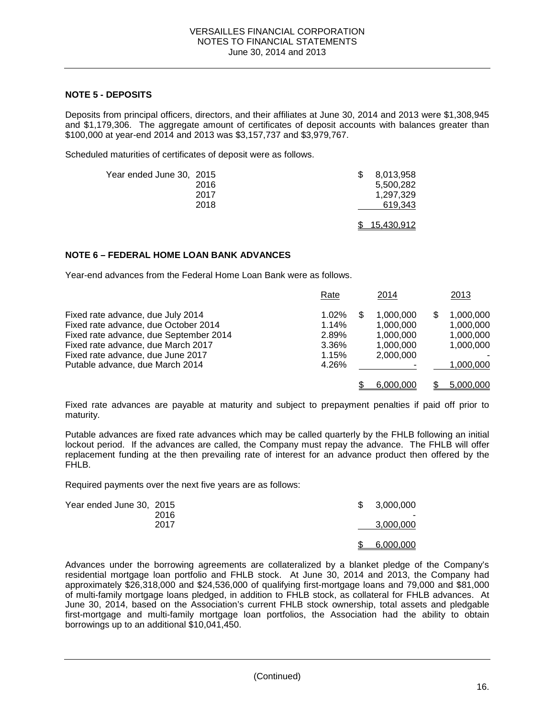### **NOTE 5 - DEPOSITS**

Deposits from principal officers, directors, and their affiliates at June 30, 2014 and 2013 were \$1,308,945 and \$1,179,306. The aggregate amount of certificates of deposit accounts with balances greater than \$100,000 at year-end 2014 and 2013 was \$3,157,737 and \$3,979,767.

Scheduled maturities of certificates of deposit were as follows.

| Year ended June 30, 2015 | 2016 | 8.013.958<br>5.500.282 |
|--------------------------|------|------------------------|
|                          | 2017 | 1.297.329              |
|                          | 2018 | 619,343                |
|                          |      | 15.430.912             |

### **NOTE 6 – FEDERAL HOME LOAN BANK ADVANCES**

Year-end advances from the Federal Home Loan Bank were as follows.

|                                                                                                                                                                                                                                   | Rate                                                  | 2014                                                               | 2013                                                          |
|-----------------------------------------------------------------------------------------------------------------------------------------------------------------------------------------------------------------------------------|-------------------------------------------------------|--------------------------------------------------------------------|---------------------------------------------------------------|
| Fixed rate advance, due July 2014<br>Fixed rate advance, due October 2014<br>Fixed rate advance, due September 2014<br>Fixed rate advance, due March 2017<br>Fixed rate advance, due June 2017<br>Putable advance, due March 2014 | $1.02\%$<br>1.14%<br>2.89%<br>3.36%<br>1.15%<br>4.26% | 1.000.000<br>S<br>1,000,000<br>1,000,000<br>1.000.000<br>2.000.000 | 1.000.000<br>1,000,000<br>1,000,000<br>1.000.000<br>1,000,000 |
|                                                                                                                                                                                                                                   |                                                       | 6.000.000                                                          | 5,000,000                                                     |

Fixed rate advances are payable at maturity and subject to prepayment penalties if paid off prior to maturity.

Putable advances are fixed rate advances which may be called quarterly by the FHLB following an initial lockout period. If the advances are called, the Company must repay the advance. The FHLB will offer replacement funding at the then prevailing rate of interest for an advance product then offered by the FHLB.

Required payments over the next five years are as follows:

| Year ended June 30, 2015 | 2016 | S. | 3,000,000 |
|--------------------------|------|----|-----------|
|                          | 2017 |    | 3,000,000 |
|                          |      |    | 6,000,000 |

Advances under the borrowing agreements are collateralized by a blanket pledge of the Company's residential mortgage loan portfolio and FHLB stock. At June 30, 2014 and 2013, the Company had approximately \$26,318,000 and \$24,536,000 of qualifying first-mortgage loans and 79,000 and \$81,000 of multi-family mortgage loans pledged, in addition to FHLB stock, as collateral for FHLB advances. At June 30, 2014, based on the Association's current FHLB stock ownership, total assets and pledgable first-mortgage and multi-family mortgage loan portfolios, the Association had the ability to obtain borrowings up to an additional \$10,041,450.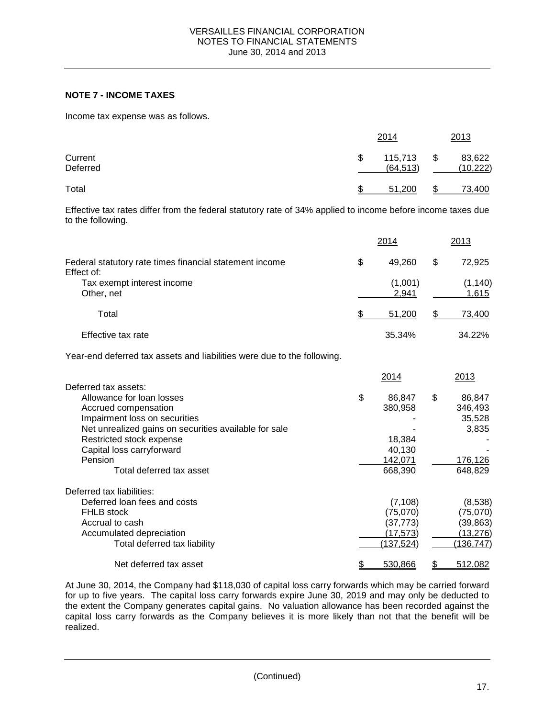# **NOTE 7 - INCOME TAXES**

Income tax expense was as follows.

|                     | 2014                       | 2013                      |
|---------------------|----------------------------|---------------------------|
| Current<br>Deferred | \$<br>115,713<br>(64, 513) | \$<br>83,622<br>(10, 222) |
| Total               | 51.200                     | \$<br>73,400              |

Effective tax rates differ from the federal statutory rate of 34% applied to income before income taxes due to the following.

|                                                                         |               | 2014               | 2013               |
|-------------------------------------------------------------------------|---------------|--------------------|--------------------|
| Federal statutory rate times financial statement income<br>Effect of:   | \$            | 49,260             | \$<br>72,925       |
| Tax exempt interest income<br>Other, net                                |               | (1,001)<br>2,941   | (1, 140)<br>1,615  |
| Total                                                                   | $\frac{1}{2}$ | 51,200             | \$<br>73,400       |
| Effective tax rate                                                      |               | 35.34%             | 34.22%             |
| Year-end deferred tax assets and liabilities were due to the following. |               |                    |                    |
|                                                                         |               | 2014               | 2013               |
| Deferred tax assets:                                                    |               |                    |                    |
| Allowance for loan losses                                               | \$            | 86,847             | \$<br>86,847       |
| Accrued compensation                                                    |               | 380,958            | 346,493            |
| Impairment loss on securities                                           |               |                    | 35,528             |
| Net unrealized gains on securities available for sale                   |               |                    | 3,835              |
| Restricted stock expense                                                |               | 18,384             |                    |
| Capital loss carryforward                                               |               | 40,130             |                    |
| Pension<br>Total deferred tax asset                                     |               | 142,071<br>668,390 | 176,126<br>648,829 |
| Deferred tax liabilities:                                               |               |                    |                    |
| Deferred loan fees and costs                                            |               | (7, 108)           | (8,538)            |
| <b>FHLB</b> stock                                                       |               | (75,070)           | (75,070)           |
| Accrual to cash                                                         |               | (37, 773)          | (39, 863)          |
| Accumulated depreciation                                                |               | (17, 573)          | (13, 276)          |
| Total deferred tax liability                                            |               | (137, 524)         | (136, 747)         |
| Net deferred tax asset                                                  | \$            | 530,866            | \$<br>512,082      |

At June 30, 2014, the Company had \$118,030 of capital loss carry forwards which may be carried forward for up to five years. The capital loss carry forwards expire June 30, 2019 and may only be deducted to the extent the Company generates capital gains. No valuation allowance has been recorded against the capital loss carry forwards as the Company believes it is more likely than not that the benefit will be realized.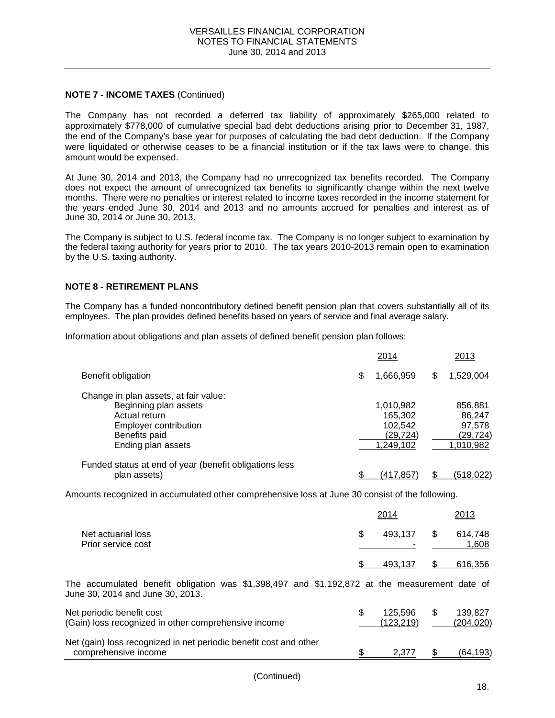### **NOTE 7 - INCOME TAXES** (Continued)

The Company has not recorded a deferred tax liability of approximately \$265,000 related to approximately \$778,000 of cumulative special bad debt deductions arising prior to December 31, 1987, the end of the Company's base year for purposes of calculating the bad debt deduction. If the Company were liquidated or otherwise ceases to be a financial institution or if the tax laws were to change, this amount would be expensed.

At June 30, 2014 and 2013, the Company had no unrecognized tax benefits recorded. The Company does not expect the amount of unrecognized tax benefits to significantly change within the next twelve months. There were no penalties or interest related to income taxes recorded in the income statement for the years ended June 30, 2014 and 2013 and no amounts accrued for penalties and interest as of June 30, 2014 or June 30, 2013.

The Company is subject to U.S. federal income tax. The Company is no longer subject to examination by the federal taxing authority for years prior to 2010. The tax years 2010-2013 remain open to examination by the U.S. taxing authority.

### **NOTE 8 - RETIREMENT PLANS**

The Company has a funded noncontributory defined benefit pension plan that covers substantially all of its employees. The plan provides defined benefits based on years of service and final average salary.

Information about obligations and plan assets of defined benefit pension plan follows:

|                                                                                                                                                 |   | 2014                                                      | 2013                                                  |
|-------------------------------------------------------------------------------------------------------------------------------------------------|---|-----------------------------------------------------------|-------------------------------------------------------|
| Benefit obligation                                                                                                                              | S | 1,666,959                                                 | \$<br>1,529,004                                       |
| Change in plan assets, at fair value:<br>Beginning plan assets<br>Actual return<br>Employer contribution<br>Benefits paid<br>Ending plan assets |   | 1,010,982<br>165,302<br>102,542<br>(29, 724)<br>1,249,102 | 856,881<br>86,247<br>97,578<br>(29, 724)<br>1,010,982 |
| Funded status at end of year (benefit obligations less<br>plan assets)                                                                          |   | (417.857                                                  | (518,022)                                             |

Amounts recognized in accumulated other comprehensive loss at June 30 consist of the following.

|                                                                                                                                     | 2014                       |    | 2013                 |
|-------------------------------------------------------------------------------------------------------------------------------------|----------------------------|----|----------------------|
| Net actuarial loss<br>Prior service cost                                                                                            | \$<br>493,137              | S  | 614,748<br>1,608     |
|                                                                                                                                     | 493,137                    |    | 616,356              |
| The accumulated benefit obligation was $$1,398,497$ and $$1,192,872$ at the measurement date of<br>June 30, 2014 and June 30, 2013. |                            |    |                      |
| Net periodic benefit cost<br>(Gain) loss recognized in other comprehensive income                                                   | \$<br>125.596<br>(123,219) | \$ | 139.827<br>(204,020) |
| Net (gain) loss recognized in net periodic benefit cost and other<br>comprehensive income                                           | 2,377                      |    | (64, 193)            |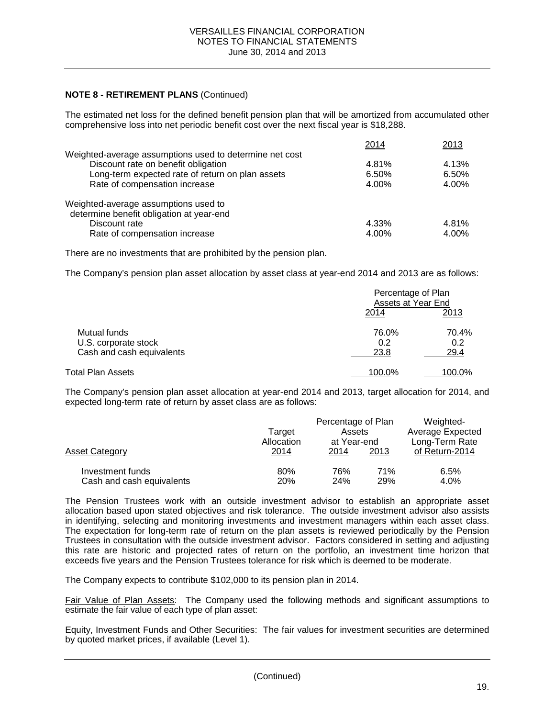### **NOTE 8 - RETIREMENT PLANS** (Continued)

The estimated net loss for the defined benefit pension plan that will be amortized from accumulated other comprehensive loss into net periodic benefit cost over the next fiscal year is \$18,288.

|                                                         | 2014  | 2013  |
|---------------------------------------------------------|-------|-------|
| Weighted-average assumptions used to determine net cost |       |       |
| Discount rate on benefit obligation                     | 4.81% | 4.13% |
| Long-term expected rate of return on plan assets        | 6.50% | 6.50% |
| Rate of compensation increase                           | 4.00% | 4.00% |
| Weighted-average assumptions used to                    |       |       |
| determine benefit obligation at year-end                |       |       |
| Discount rate                                           | 4.33% | 4.81% |
| Rate of compensation increase                           | 4.00% | 4.00% |

There are no investments that are prohibited by the pension plan.

The Company's pension plan asset allocation by asset class at year-end 2014 and 2013 are as follows:

|                                                                   | Percentage of Plan<br>Assets at Year End |                      |  |
|-------------------------------------------------------------------|------------------------------------------|----------------------|--|
|                                                                   | 2014                                     | 2013                 |  |
| Mutual funds<br>U.S. corporate stock<br>Cash and cash equivalents | 76.0%<br>0.2<br>23.8                     | 70.4%<br>0.2<br>29.4 |  |
|                                                                   |                                          |                      |  |
| Total Plan Assets                                                 | <u>100.0%</u>                            | <u>100.0%</u>        |  |

The Company's pension plan asset allocation at year-end 2014 and 2013, target allocation for 2014, and expected long-term rate of return by asset class are as follows:

| Asset Category            | Target<br>Allocation<br>2014 | Percentage of Plan<br>Assets<br>at Year-end<br>2013<br>2014 |     | Weighted-<br>Average Expected<br>Long-Term Rate<br>of Return-2014 |  |
|---------------------------|------------------------------|-------------------------------------------------------------|-----|-------------------------------------------------------------------|--|
| Investment funds          | 80%                          | 76%                                                         | 71% | 6.5%                                                              |  |
| Cash and cash equivalents | 20%                          | <b>24%</b>                                                  | 29% | 4.0%                                                              |  |

The Pension Trustees work with an outside investment advisor to establish an appropriate asset allocation based upon stated objectives and risk tolerance. The outside investment advisor also assists in identifying, selecting and monitoring investments and investment managers within each asset class. The expectation for long-term rate of return on the plan assets is reviewed periodically by the Pension Trustees in consultation with the outside investment advisor. Factors considered in setting and adjusting this rate are historic and projected rates of return on the portfolio, an investment time horizon that exceeds five years and the Pension Trustees tolerance for risk which is deemed to be moderate.

The Company expects to contribute \$102,000 to its pension plan in 2014.

Fair Value of Plan Assets: The Company used the following methods and significant assumptions to estimate the fair value of each type of plan asset:

Equity, Investment Funds and Other Securities: The fair values for investment securities are determined by quoted market prices, if available (Level 1).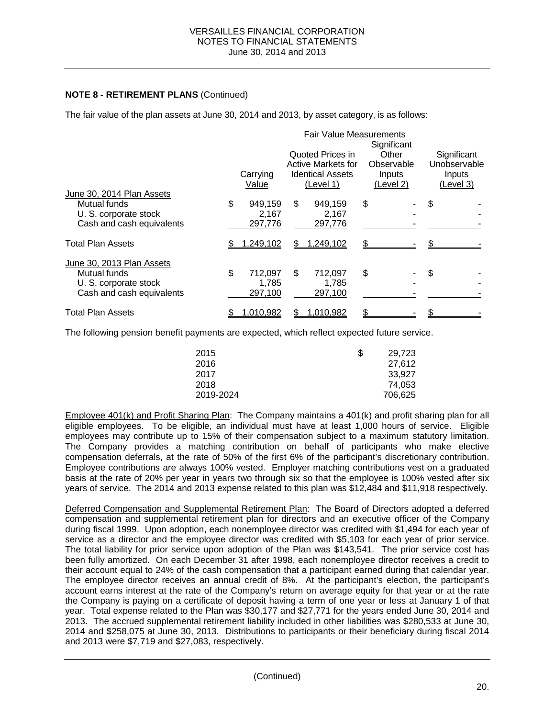# **NOTE 8 - RETIREMENT PLANS** (Continued)

The fair value of the plan assets at June 30, 2014 and 2013, by asset category, is as follows:

|                                                                    |                                   |    | <b>Fair Value Measurements</b>                                                        |                                                           |    |                                                    |
|--------------------------------------------------------------------|-----------------------------------|----|---------------------------------------------------------------------------------------|-----------------------------------------------------------|----|----------------------------------------------------|
|                                                                    | Carrying<br>Value                 |    | Quoted Prices in<br><b>Active Markets for</b><br><b>Identical Assets</b><br>(Level 1) | Significant<br>Other<br>Observable<br>Inputs<br>(Level 2) |    | Significant<br>Unobservable<br>Inputs<br>(Level 3) |
| June 30, 2014 Plan Assets                                          |                                   |    |                                                                                       |                                                           |    |                                                    |
| Mutual funds<br>U. S. corporate stock<br>Cash and cash equivalents | \$<br>949,159<br>2,167<br>297,776 | \$ | 949.159<br>2,167<br>297,776                                                           | \$                                                        | \$ |                                                    |
|                                                                    |                                   |    |                                                                                       |                                                           |    |                                                    |
| <b>Total Plan Assets</b>                                           | 1,249,102                         | S  | 1,249,102                                                                             |                                                           |    |                                                    |
| June 30, 2013 Plan Assets                                          |                                   |    |                                                                                       |                                                           |    |                                                    |
| Mutual funds<br>U. S. corporate stock                              | \$<br>712,097<br>1,785            | \$ | 712,097<br>1,785                                                                      | \$                                                        | S  |                                                    |
| Cash and cash equivalents                                          | 297,100                           |    | 297,100                                                                               |                                                           |    |                                                    |
| <b>Total Plan Assets</b>                                           | 1,010,982                         |    | 1,010,982                                                                             |                                                           |    |                                                    |

The following pension benefit payments are expected, which reflect expected future service.

| 2015      | S | 29.723  |
|-----------|---|---------|
| 2016      |   | 27.612  |
| 2017      |   | 33.927  |
| 2018      |   | 74,053  |
| 2019-2024 |   | 706,625 |

Employee 401(k) and Profit Sharing Plan: The Company maintains a 401(k) and profit sharing plan for all eligible employees. To be eligible, an individual must have at least 1,000 hours of service. Eligible employees may contribute up to 15% of their compensation subject to a maximum statutory limitation. The Company provides a matching contribution on behalf of participants who make elective compensation deferrals, at the rate of 50% of the first 6% of the participant's discretionary contribution. Employee contributions are always 100% vested. Employer matching contributions vest on a graduated basis at the rate of 20% per year in years two through six so that the employee is 100% vested after six years of service. The 2014 and 2013 expense related to this plan was \$12,484 and \$11,918 respectively.

Deferred Compensation and Supplemental Retirement Plan: The Board of Directors adopted a deferred compensation and supplemental retirement plan for directors and an executive officer of the Company during fiscal 1999. Upon adoption, each nonemployee director was credited with \$1,494 for each year of service as a director and the employee director was credited with \$5,103 for each year of prior service. The total liability for prior service upon adoption of the Plan was \$143,541. The prior service cost has been fully amortized. On each December 31 after 1998, each nonemployee director receives a credit to their account equal to 24% of the cash compensation that a participant earned during that calendar year. The employee director receives an annual credit of 8%. At the participant's election, the participant's account earns interest at the rate of the Company's return on average equity for that year or at the rate the Company is paying on a certificate of deposit having a term of one year or less at January 1 of that year. Total expense related to the Plan was \$30,177 and \$27,771 for the years ended June 30, 2014 and 2013. The accrued supplemental retirement liability included in other liabilities was \$280,533 at June 30, 2014 and \$258,075 at June 30, 2013. Distributions to participants or their beneficiary during fiscal 2014 and 2013 were \$7,719 and \$27,083, respectively.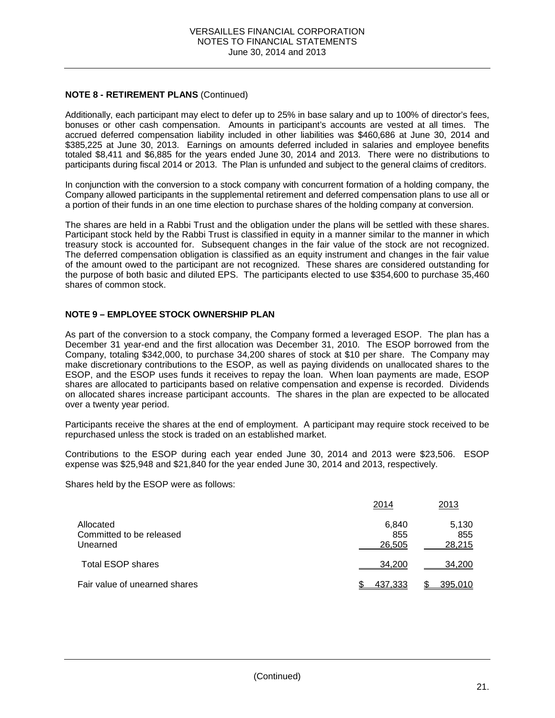## **NOTE 8 - RETIREMENT PLANS** (Continued)

Additionally, each participant may elect to defer up to 25% in base salary and up to 100% of director's fees, bonuses or other cash compensation. Amounts in participant's accounts are vested at all times. The accrued deferred compensation liability included in other liabilities was \$460,686 at June 30, 2014 and \$385,225 at June 30, 2013. Earnings on amounts deferred included in salaries and employee benefits totaled \$8,411 and \$6,885 for the years ended June 30, 2014 and 2013. There were no distributions to participants during fiscal 2014 or 2013. The Plan is unfunded and subject to the general claims of creditors.

In conjunction with the conversion to a stock company with concurrent formation of a holding company, the Company allowed participants in the supplemental retirement and deferred compensation plans to use all or a portion of their funds in an one time election to purchase shares of the holding company at conversion.

The shares are held in a Rabbi Trust and the obligation under the plans will be settled with these shares. Participant stock held by the Rabbi Trust is classified in equity in a manner similar to the manner in which treasury stock is accounted for. Subsequent changes in the fair value of the stock are not recognized. The deferred compensation obligation is classified as an equity instrument and changes in the fair value of the amount owed to the participant are not recognized. These shares are considered outstanding for the purpose of both basic and diluted EPS. The participants elected to use \$354,600 to purchase 35,460 shares of common stock.

# **NOTE 9 – EMPLOYEE STOCK OWNERSHIP PLAN**

As part of the conversion to a stock company, the Company formed a leveraged ESOP. The plan has a December 31 year-end and the first allocation was December 31, 2010. The ESOP borrowed from the Company, totaling \$342,000, to purchase 34,200 shares of stock at \$10 per share. The Company may make discretionary contributions to the ESOP, as well as paying dividends on unallocated shares to the ESOP, and the ESOP uses funds it receives to repay the loan. When loan payments are made, ESOP shares are allocated to participants based on relative compensation and expense is recorded. Dividends on allocated shares increase participant accounts. The shares in the plan are expected to be allocated over a twenty year period.

Participants receive the shares at the end of employment. A participant may require stock received to be repurchased unless the stock is traded on an established market.

Contributions to the ESOP during each year ended June 30, 2014 and 2013 were \$23,506. ESOP expense was \$25,948 and \$21,840 for the year ended June 30, 2014 and 2013, respectively.

Shares held by the ESOP were as follows:

|                                                   | 2014                   | 2013                   |
|---------------------------------------------------|------------------------|------------------------|
| Allocated<br>Committed to be released<br>Unearned | 6,840<br>855<br>26,505 | 5,130<br>855<br>28,215 |
| <b>Total ESOP shares</b>                          | 34.200                 | 34,200                 |
| Fair value of unearned shares                     | 437.333                | 395,010                |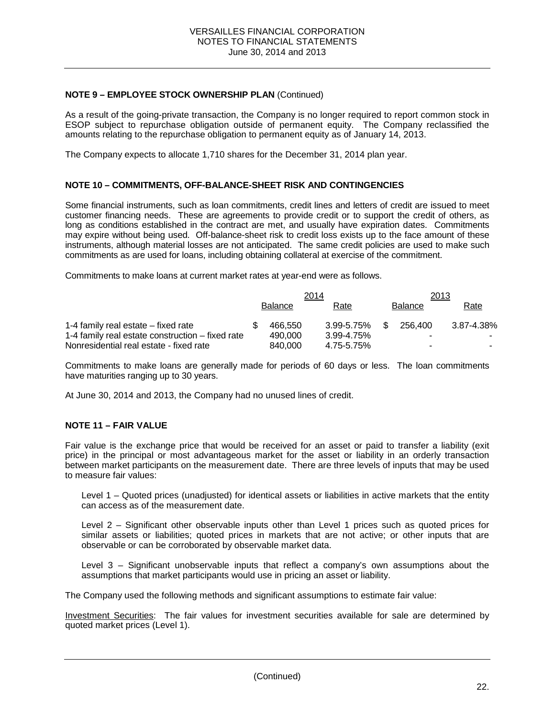### **NOTE 9 – EMPLOYEE STOCK OWNERSHIP PLAN** (Continued)

As a result of the going-private transaction, the Company is no longer required to report common stock in ESOP subject to repurchase obligation outside of permanent equity. The Company reclassified the amounts relating to the repurchase obligation to permanent equity as of January 14, 2013.

The Company expects to allocate 1,710 shares for the December 31, 2014 plan year.

### **NOTE 10 – COMMITMENTS, OFF-BALANCE-SHEET RISK AND CONTINGENCIES**

Some financial instruments, such as loan commitments, credit lines and letters of credit are issued to meet customer financing needs. These are agreements to provide credit or to support the credit of others, as long as conditions established in the contract are met, and usually have expiration dates. Commitments may expire without being used. Off-balance-sheet risk to credit loss exists up to the face amount of these instruments, although material losses are not anticipated. The same credit policies are used to make such commitments as are used for loans, including obtaining collateral at exercise of the commitment.

Commitments to make loans at current market rates at year-end were as follows.

|                                                  | 2014 |                |            |     | 2013           |             |  |
|--------------------------------------------------|------|----------------|------------|-----|----------------|-------------|--|
|                                                  |      | <b>Balance</b> | Rate       |     | <b>Balance</b> | <b>Rate</b> |  |
| 1-4 family real estate – fixed rate              |      | 466.550        | 3.99-5.75% | \$. | 256.400        | 3.87-4.38%  |  |
| 1-4 family real estate construction – fixed rate |      | 490.000        | 3.99-4.75% |     |                |             |  |
| Nonresidential real estate - fixed rate          |      | 840,000        | 4.75-5.75% |     |                | -           |  |

Commitments to make loans are generally made for periods of 60 days or less. The loan commitments have maturities ranging up to 30 years.

At June 30, 2014 and 2013, the Company had no unused lines of credit.

### **NOTE 11 – FAIR VALUE**

Fair value is the exchange price that would be received for an asset or paid to transfer a liability (exit price) in the principal or most advantageous market for the asset or liability in an orderly transaction between market participants on the measurement date. There are three levels of inputs that may be used to measure fair values:

Level 1 – Quoted prices (unadjusted) for identical assets or liabilities in active markets that the entity can access as of the measurement date.

Level 2 – Significant other observable inputs other than Level 1 prices such as quoted prices for similar assets or liabilities; quoted prices in markets that are not active; or other inputs that are observable or can be corroborated by observable market data.

Level 3 – Significant unobservable inputs that reflect a company's own assumptions about the assumptions that market participants would use in pricing an asset or liability.

The Company used the following methods and significant assumptions to estimate fair value:

Investment Securities: The fair values for investment securities available for sale are determined by quoted market prices (Level 1).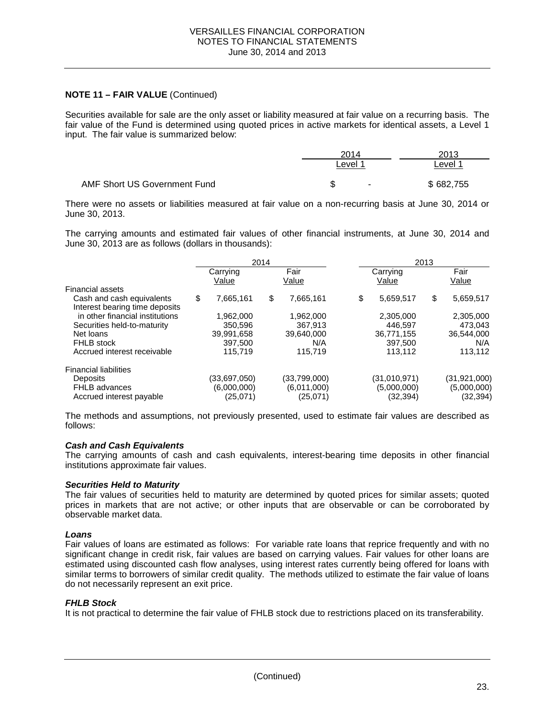### **NOTE 11 – FAIR VALUE** (Continued)

Securities available for sale are the only asset or liability measured at fair value on a recurring basis. The fair value of the Fund is determined using quoted prices in active markets for identical assets, a Level 1 input. The fair value is summarized below:

|                              | 2014               | 2013               |
|------------------------------|--------------------|--------------------|
|                              | ∟evel 1            | Level <sup>1</sup> |
| AMF Short US Government Fund | ጥ<br><b>.</b><br>Œ | \$682,755          |

There were no assets or liabilities measured at fair value on a non-recurring basis at June 30, 2014 or June 30, 2013.

The carrying amounts and estimated fair values of other financial instruments, at June 30, 2014 and June 30, 2013 are as follows (dollars in thousands):

|                                                             | 2014 |                   |    | 2013          |    |                   |    |                |
|-------------------------------------------------------------|------|-------------------|----|---------------|----|-------------------|----|----------------|
|                                                             |      | Carrying<br>Value |    | Fair<br>Value |    | Carrying<br>Value |    | Fair<br>Value  |
| Financial assets                                            |      |                   |    |               |    |                   |    |                |
| Cash and cash equivalents<br>Interest bearing time deposits | \$   | 7,665,161         | \$ | 7,665,161     | \$ | 5,659,517         | \$ | 5,659,517      |
| in other financial institutions                             |      | 1,962,000         |    | 1.962.000     |    | 2,305,000         |    | 2,305,000      |
| Securities held-to-maturity                                 |      | 350,596           |    | 367.913       |    | 446.597           |    | 473.043        |
| Net loans                                                   |      | 39,991,658        |    | 39,640,000    |    | 36,771,155        |    | 36,544,000     |
| <b>FHLB</b> stock                                           |      | 397.500           |    | N/A           |    | 397.500           |    | N/A            |
| Accrued interest receivable                                 |      | 115.719           |    | 115.719       |    | 113.112           |    | 113,112        |
| <b>Financial liabilities</b>                                |      |                   |    |               |    |                   |    |                |
| <b>Deposits</b>                                             |      | (33,697,050)      |    | (33,799,000)  |    | (31,010,971)      |    | (31, 921, 000) |
| <b>FHLB</b> advances                                        |      | (6,000,000)       |    | (6.011,000)   |    | (5,000,000)       |    | (5,000,000)    |
| Accrued interest payable                                    |      | (25,071)          |    | (25,071)      |    | (32, 394)         |    | (32,394)       |

The methods and assumptions, not previously presented, used to estimate fair values are described as follows:

#### *Cash and Cash Equivalents*

The carrying amounts of cash and cash equivalents, interest-bearing time deposits in other financial institutions approximate fair values.

#### *Securities Held to Maturity*

The fair values of securities held to maturity are determined by quoted prices for similar assets; quoted prices in markets that are not active; or other inputs that are observable or can be corroborated by observable market data.

#### *Loans*

Fair values of loans are estimated as follows: For variable rate loans that reprice frequently and with no significant change in credit risk, fair values are based on carrying values. Fair values for other loans are estimated using discounted cash flow analyses, using interest rates currently being offered for loans with similar terms to borrowers of similar credit quality. The methods utilized to estimate the fair value of loans do not necessarily represent an exit price.

#### *FHLB Stock*

It is not practical to determine the fair value of FHLB stock due to restrictions placed on its transferability.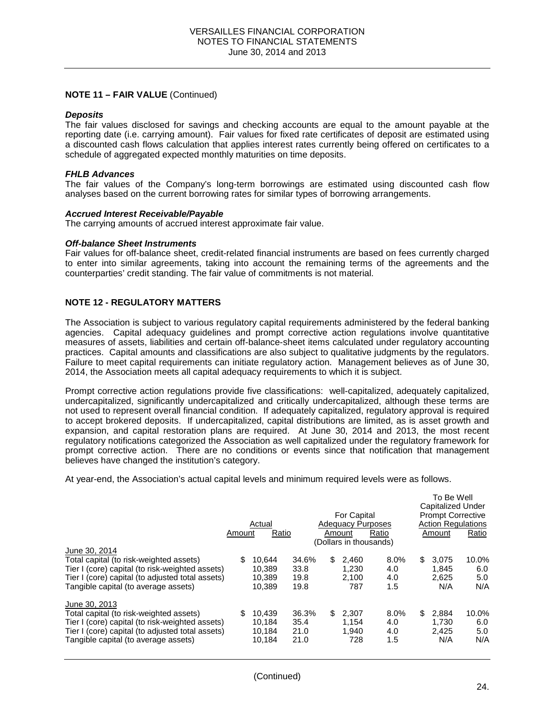### **NOTE 11 – FAIR VALUE** (Continued)

#### *Deposits*

The fair values disclosed for savings and checking accounts are equal to the amount payable at the reporting date (i.e. carrying amount). Fair values for fixed rate certificates of deposit are estimated using a discounted cash flows calculation that applies interest rates currently being offered on certificates to a schedule of aggregated expected monthly maturities on time deposits.

#### *FHLB Advances*

The fair values of the Company's long-term borrowings are estimated using discounted cash flow analyses based on the current borrowing rates for similar types of borrowing arrangements.

#### *Accrued Interest Receivable/Payable*

The carrying amounts of accrued interest approximate fair value.

#### *Off-balance Sheet Instruments*

Fair values for off-balance sheet, credit-related financial instruments are based on fees currently charged to enter into similar agreements, taking into account the remaining terms of the agreements and the counterparties' credit standing. The fair value of commitments is not material.

#### **NOTE 12 - REGULATORY MATTERS**

The Association is subject to various regulatory capital requirements administered by the federal banking agencies. Capital adequacy guidelines and prompt corrective action regulations involve quantitative measures of assets, liabilities and certain off-balance-sheet items calculated under regulatory accounting practices. Capital amounts and classifications are also subject to qualitative judgments by the regulators. Failure to meet capital requirements can initiate regulatory action. Management believes as of June 30, 2014, the Association meets all capital adequacy requirements to which it is subject.

Prompt corrective action regulations provide five classifications: well-capitalized, adequately capitalized, undercapitalized, significantly undercapitalized and critically undercapitalized, although these terms are not used to represent overall financial condition. If adequately capitalized, regulatory approval is required to accept brokered deposits. If undercapitalized, capital distributions are limited, as is asset growth and expansion, and capital restoration plans are required. At June 30, 2014 and 2013, the most recent regulatory notifications categorized the Association as well capitalized under the regulatory framework for prompt corrective action. There are no conditions or events since that notification that management believes have changed the institution's category.

At year-end, the Association's actual capital levels and minimum required levels were as follows.

|                                                                                                                                                                                                         | Amount | Actual<br>Ratio                      |                               |     | <b>For Capital</b><br><b>Adequacy Purposes</b><br>Amount<br>(Dollars in thousands) | Ratio                     | TO DE MEIL<br><b>Capitalized Under</b><br><b>Prompt Corrective</b><br><b>Action Regulations</b><br>Amount | Ratio                      |
|---------------------------------------------------------------------------------------------------------------------------------------------------------------------------------------------------------|--------|--------------------------------------|-------------------------------|-----|------------------------------------------------------------------------------------|---------------------------|-----------------------------------------------------------------------------------------------------------|----------------------------|
| June 30, 2014<br>Total capital (to risk-weighted assets)<br>Tier I (core) capital (to risk-weighted assets)<br>Tier I (core) capital (to adjusted total assets)<br>Tangible capital (to average assets) | \$     | 10.644<br>10.389<br>10.389<br>10.389 | 34.6%<br>33.8<br>19.8<br>19.8 | \$. | 2.460<br>1.230<br>2.100<br>787                                                     | 8.0%<br>4.0<br>4.0<br>1.5 | \$<br>3.075<br>1.845<br>2.625<br>N/A                                                                      | 10.0%<br>6.0<br>5.0<br>N/A |
| June 30, 2013<br>Total capital (to risk-weighted assets)<br>Tier I (core) capital (to risk-weighted assets)<br>Tier I (core) capital (to adjusted total assets)<br>Tangible capital (to average assets) | \$     | 10.439<br>10.184<br>10.184<br>10.184 | 36.3%<br>35.4<br>21.0<br>21.0 | \$  | 2.307<br>1.154<br>1.940<br>728                                                     | 8.0%<br>4.0<br>4.0<br>1.5 | \$<br>2.884<br>1.730<br>2.425<br>N/A                                                                      | 10.0%<br>6.0<br>5.0<br>N/A |

To Be Well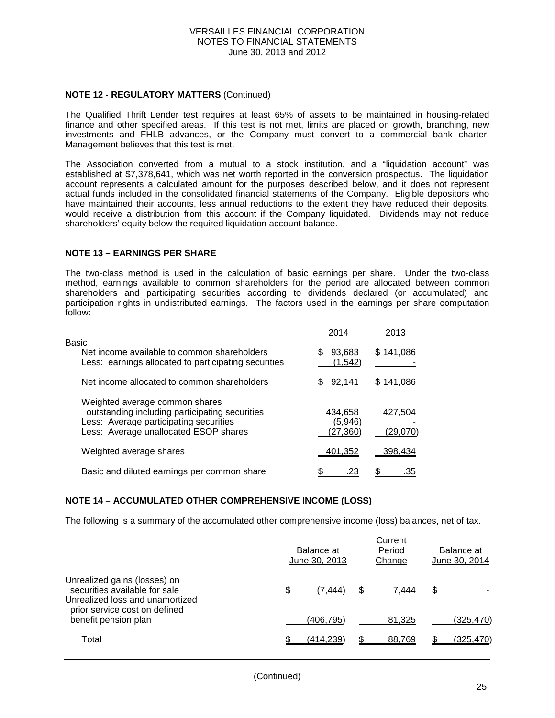### **NOTE 12 - REGULATORY MATTERS** (Continued)

The Qualified Thrift Lender test requires at least 65% of assets to be maintained in housing-related finance and other specified areas. If this test is not met, limits are placed on growth, branching, new investments and FHLB advances, or the Company must convert to a commercial bank charter. Management believes that this test is met.

The Association converted from a mutual to a stock institution, and a "liquidation account" was established at \$7,378,641, which was net worth reported in the conversion prospectus. The liquidation account represents a calculated amount for the purposes described below, and it does not represent actual funds included in the consolidated financial statements of the Company. Eligible depositors who have maintained their accounts, less annual reductions to the extent they have reduced their deposits, would receive a distribution from this account if the Company liquidated. Dividends may not reduce shareholders' equity below the required liquidation account balance.

#### **NOTE 13 – EARNINGS PER SHARE**

The two-class method is used in the calculation of basic earnings per share. Under the two-class method, earnings available to common shareholders for the period are allocated between common shareholders and participating securities according to dividends declared (or accumulated) and participation rights in undistributed earnings. The factors used in the earnings per share computation follow:

| Basic                                                                                                                                                               | 2014                          | 2013                |
|---------------------------------------------------------------------------------------------------------------------------------------------------------------------|-------------------------------|---------------------|
| Net income available to common shareholders<br>Less: earnings allocated to participating securities                                                                 | 93,683<br>S<br>(1.542)        | \$141,086           |
| Net income allocated to common shareholders                                                                                                                         | 92,141                        | 141.086             |
| Weighted average common shares<br>outstanding including participating securities<br>Less: Average participating securities<br>Less: Average unallocated ESOP shares | 434,658<br>(5,946)<br>(27,360 | 427,504<br>(29,070) |
| Weighted average shares                                                                                                                                             | 401,352                       | 398,434             |
| Basic and diluted earnings per common share                                                                                                                         |                               | .35                 |

### **NOTE 14 – ACCUMULATED OTHER COMPREHENSIVE INCOME (LOSS)**

The following is a summary of the accumulated other comprehensive income (loss) balances, net of tax.

|                                                                                                  | Balance at<br>June 30, 2013 | Current<br>Period<br>Change | Balance at<br>June 30, 2014 |                  |  |
|--------------------------------------------------------------------------------------------------|-----------------------------|-----------------------------|-----------------------------|------------------|--|
| Unrealized gains (losses) on<br>securities available for sale<br>Unrealized loss and unamortized | \$<br>(7.444)               | \$<br>7.444                 | S                           |                  |  |
| prior service cost on defined<br>benefit pension plan                                            | (406.795)                   | 81.325                      |                             | (325,470)        |  |
| Total                                                                                            | <u>(414,239)</u>            | 88,769                      |                             | <u>(325,470)</u> |  |
|                                                                                                  |                             |                             |                             |                  |  |